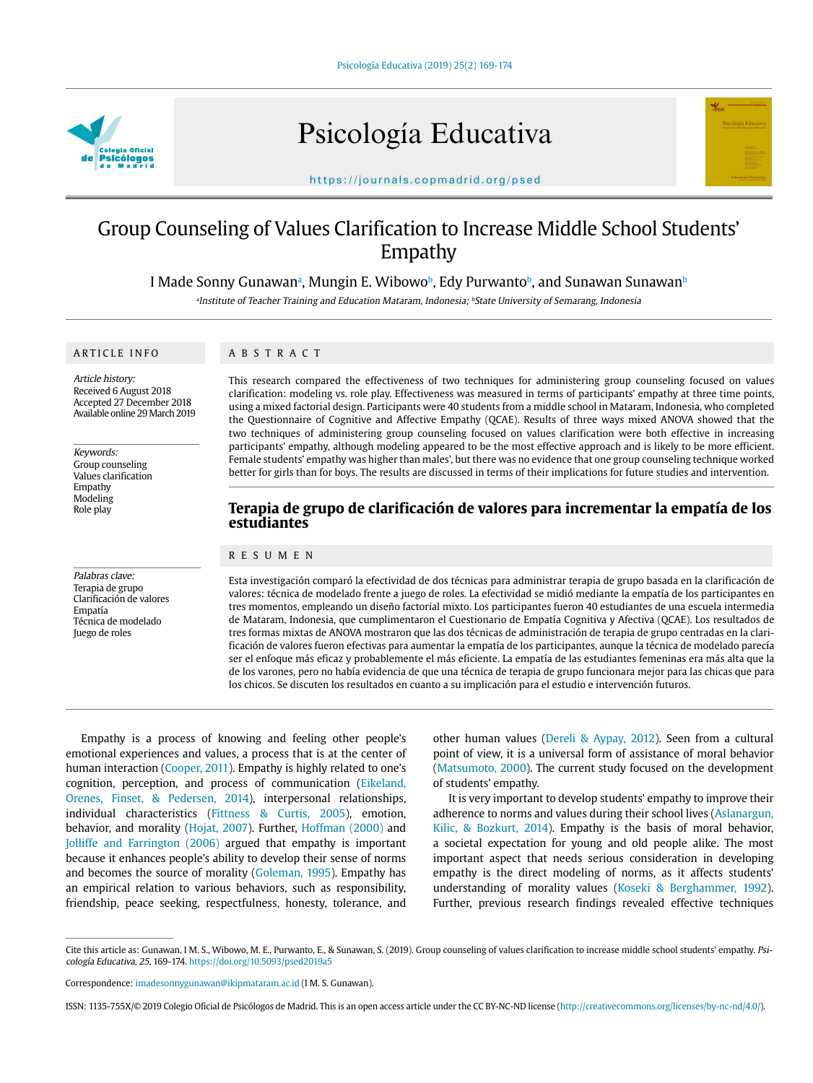

# Psicología Educativa



https://journals.copmadrid.org/psed

# Group Counseling of Values Clarification to Increase Middle School Students' Empathy

I Made Sonny Gunawanª, Mungin E. Wibowoʰ, Edy Purwantoʰ, and Sunawan Sunawanʰ

<sup>a</sup>Institute of Teacher Training and Education Mataram, Indonesia; <sup>b</sup>State University of Semarang, Indonesia

#### ARTICLE INFO

ABSTRACT

Article history: Received 6 August 2018 Accepted 27 December 2018 Available online 29 March 2019

Keywords: Group counseling Values clarification Empathy Modeling Role play

Palabras clave: Terapia de grupo Clarificación de valores Empatía Técnica de modelado Juego de roles

This research compared the effectiveness of two techniques for administering group counseling focused on values clarification: modeling vs. role play. Effectiveness was measured in terms of participants' empathy at three time points, using a mixed factorial design. Participants were 40 students from a middle school in Mataram, Indonesia, who completed the Questionnaire of Cognitive and Affective Empathy (QCAE). Results of three ways mixed ANOVA showed that the two techniques of administering group counseling focused on values clarification were both effective in increasing participants' empathy, although modeling appeared to be the most effective approach and is likely to be more efficient. Female students' empathy was higher than males', but there was no evidence that one group counseling technique worked better for girls than for boys. The results are discussed in terms of their implications for future studies and intervention.

# **Terapia de grupo de clarificación de valores para incrementar la empatía de los estudiantes**

# RESUMEN

Esta investigación comparó la efectividad de dos técnicas para administrar terapia de grupo basada en la clarificación de valores: técnica de modelado frente a juego de roles. La efectividad se midió mediante la empatía de los participantes en tres momentos, empleando un diseño factorial mixto. Los participantes fueron 40 estudiantes de una escuela intermedia de Mataram, Indonesia, que cumplimentaron el Cuestionario de Empatía Cognitiva y Afectiva (QCAE). Los resultados de tres formas mixtas de ANOVA mostraron que las dos técnicas de administración de terapia de grupo centradas en la clarificación de valores fueron efectivas para aumentar la empatía de los participantes, aunque la técnica de modelado parecía ser el enfoque más eficaz y probablemente el más eficiente. La empatía de las estudiantes femeninas era más alta que la de los varones, pero no había evidencia de que una técnica de terapia de grupo funcionara mejor para las chicas que para los chicos. Se discuten los resultados en cuanto a su implicación para el estudio e intervención futuros.

Empathy is a process of knowing and feeling other people's emotional experiences and values, a process that is at the center of human interaction (Cooper, 2011). Empathy is highly related to one's cognition, perception, and process of communication (Eikeland, Orenes, Finset, & Pedersen, 2014), interpersonal relationships, individual characteristics (Fittness & Curtis, 2005), emotion, behavior, and morality (Hojat, 2007). Further, Hoffman (2000) and Jolliffe and Farrington (2006) argued that empathy is important because it enhances people's ability to develop their sense of norms and becomes the source of morality (Goleman, 1995). Empathy has an empirical relation to various behaviors, such as responsibility, friendship, peace seeking, respectfulness, honesty, tolerance, and

other human values (Dereli & Aypay, 2012). Seen from a cultural point of view, it is a universal form of assistance of moral behavior (Matsumoto, 2000). The current study focused on the development of students' empathy.

It is very important to develop students' empathy to improve their adherence to norms and values during their school lives (Aslanargun, Kilic, & Bozkurt, 2014). Empathy is the basis of moral behavior, a societal expectation for young and old people alike. The most important aspect that needs serious consideration in developing empathy is the direct modeling of norms, as it affects students' understanding of morality values (Koseki & Berghammer, 1992). Further, previous research findings revealed effective techniques

Cite this article as: Gunawan, I M. S., Wibowo, M. E., Purwanto, E., & Sunawan, S. (2019). Group counseling of values clarification to increase middle school students' empathy. Psicología Educativa, 25, 169-174. https://doi.org/10.5093/psed2019a5

Correspondence: imadesonnygunawan@ikipmataram.ac.id (I M. S. Gunawan).

ISSN: 1135-755X/© 2019 Colegio Oficial de Psicólogos de Madrid. This is an open access article under the CC BY-NC-ND license (http://creativecommons.org/licenses/by-nc-nd/4.0/).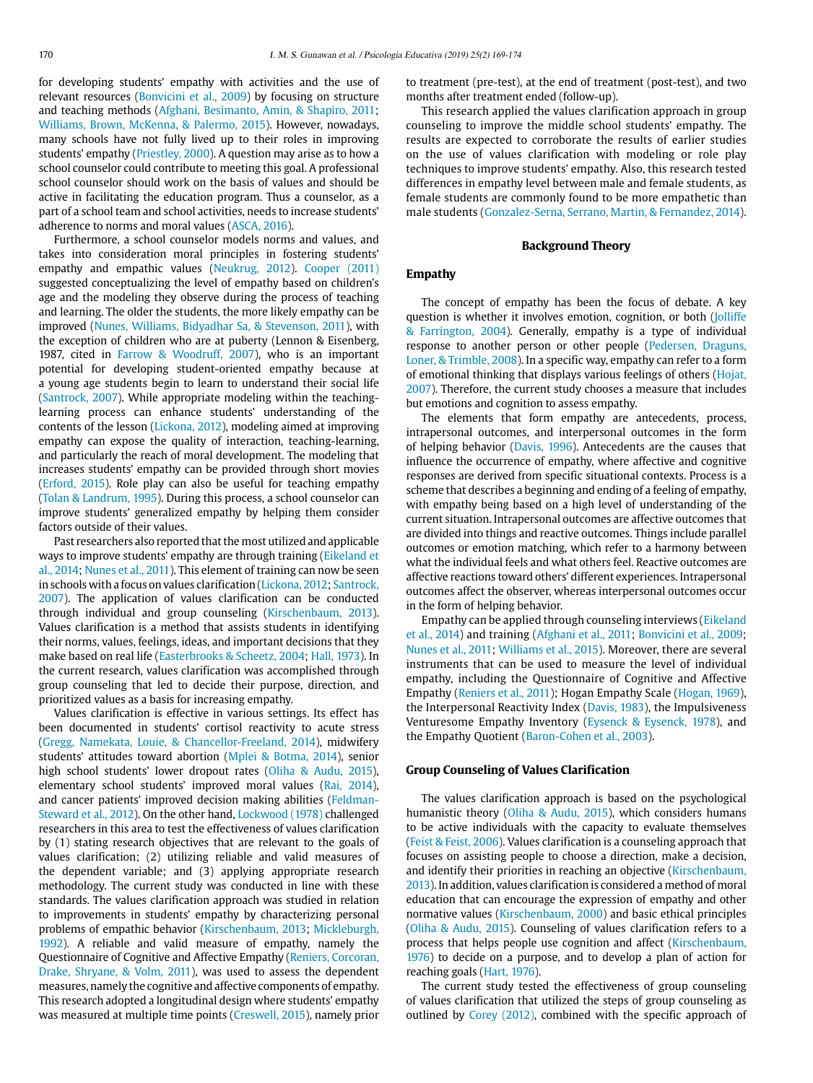for developing students' empathy with activities and the use of relevant resources (Bonvicini et al., 2009) by focusing on structure and teaching methods (Afghani, Besimanto, Amin, & Shapiro, 2011; Williams, Brown, McKenna, & Palermo, 2015). However, nowadays, many schools have not fully lived up to their roles in improving students' empathy (Priestley, 2000). A question may arise as to how a school counselor could contribute to meeting this goal. A professional school counselor should work on the basis of values and should be active in facilitating the education program. Thus a counselor, as a part of a school team and school activities, needs to increase students' adherence to norms and moral values (ASCA, 2016).

Furthermore, a school counselor models norms and values, and takes into consideration moral principles in fostering students' empathy and empathic values (Neukrug, 2012). Cooper (2011) suggested conceptualizing the level of empathy based on children's age and the modeling they observe during the process of teaching and learning. The older the students, the more likely empathy can be improved (Nunes, Williams, Bidyadhar Sa, & Stevenson, 2011), with the exception of children who are at puberty (Lennon & Eisenberg, 1987, cited in Farrow & Woodruff, 2007), who is an important potential for developing student-oriented empathy because at a young age students begin to learn to understand their social life (Santrock, 2007). While appropriate modeling within the teachinglearning process can enhance students' understanding of the contents of the lesson (Lickona, 2012), modeling aimed at improving empathy can expose the quality of interaction, teaching-learning, and particularly the reach of moral development. The modeling that increases students' empathy can be provided through short movies (Erford, 2015). Role play can also be useful for teaching empathy (Tolan & Landrum, 1995). During this process, a school counselor can improve students' generalized empathy by helping them consider factors outside of their values.

Past researchers also reported that the most utilized and applicable ways to improve students' empathy are through training (Eikeland et al., 2014; Nunes et al., 2011). This element of training can now be seen in schools with a focus on values clarification (Lickona, 2012; Santrock, 2007). The application of values clarification can be conducted through individual and group counseling (Kirschenbaum, 2013). Values clarification is a method that assists students in identifying their norms, values, feelings, ideas, and important decisions that they make based on real life (Easterbrooks & Scheetz, 2004; Hall, 1973). In the current research, values clarification was accomplished through group counseling that led to decide their purpose, direction, and prioritized values as a basis for increasing empathy.

Values clarification is effective in various settings. Its effect has been documented in students' cortisol reactivity to acute stress (Gregg, Namekata, Louie, & Chancellor-Freeland, 2014), midwifery students' attitudes toward abortion (Mplei & Botma, 2014), senior high school students' lower dropout rates (Oliha & Audu, 2015), elementary school students' improved moral values (Rai, 2014), and cancer patients' improved decision making abilities (Feldman-Steward et al., 2012). On the other hand, Lockwood (1978) challenged researchers in this area to test the effectiveness of values clarification by (1) stating research objectives that are relevant to the goals of values clarification; (2) utilizing reliable and valid measures of the dependent variable; and (3) applying appropriate research methodology. The current study was conducted in line with these standards. The values clarification approach was studied in relation to improvements in students' empathy by characterizing personal problems of empathic behavior (Kirschenbaum, 2013; Mickleburgh, 1992). A reliable and valid measure of empathy, namely the Questionnaire of Cognitive and Affective Empathy (Reniers, Corcoran, Drake, Shryane, & Volm, 2011), was used to assess the dependent measures, namely the cognitive and affective components of empathy. This research adopted a longitudinal design where students' empathy was measured at multiple time points (Creswell, 2015), namely prior to treatment (pre-test), at the end of treatment (post-test), and two months after treatment ended (follow-up).

This research applied the values clarification approach in group counseling to improve the middle school students' empathy. The results are expected to corroborate the results of earlier studies on the use of values clarification with modeling or role play techniques to improve students' empathy. Also, this research tested differences in empathy level between male and female students, as female students are commonly found to be more empathetic than male students (Gonzalez-Serna, Serrano, Martin, & Fernandez, 2014).

# **Background Theory**

# **Empathy**

The concept of empathy has been the focus of debate. A key question is whether it involves emotion, cognition, or both (Jolliffe & Farrington, 2004). Generally, empathy is a type of individual response to another person or other people (Pedersen, Draguns, Loner, & Trimble, 2008). In a specific way, empathy can refer to a form of emotional thinking that displays various feelings of others (Hojat, 2007). Therefore, the current study chooses a measure that includes but emotions and cognition to assess empathy.

The elements that form empathy are antecedents, process, intrapersonal outcomes, and interpersonal outcomes in the form of helping behavior (Davis, 1996). Antecedents are the causes that influence the occurrence of empathy, where affective and cognitive responses are derived from specific situational contexts. Process is a scheme that describes a beginning and ending of a feeling of empathy, with empathy being based on a high level of understanding of the current situation. Intrapersonal outcomes are affective outcomes that are divided into things and reactive outcomes. Things include parallel outcomes or emotion matching, which refer to a harmony between what the individual feels and what others feel. Reactive outcomes are affective reactions toward others' different experiences. Intrapersonal outcomes affect the observer, whereas interpersonal outcomes occur in the form of helping behavior.

Empathy can be applied through counseling interviews (Eikeland et al., 2014) and training [\(](http://escholarship.org/uc/search?creator=Afghani%2C Behnoosh)Afghani et al., 2011; Bonvicini et al., 2009; Nunes et al., 2011; Williams et al., 2015). Moreover, there are several instruments that can be used to measure the level of individual empathy, including the Questionnaire of Cognitive and Affective Empathy (Reniers et al., 2011); Hogan Empathy Scale (Hogan, 1969), the Interpersonal Reactivity Index (Davis, 1983), the Impulsiveness Venturesome Empathy Inventory (Eysenck & Eysenck, 1978), and the Empathy Quotient (Baron-Cohen et al., 2003).

#### **Group Counseling of Values Clarification**

The values clarification approach is based on the psychological humanistic theory (Oliha & Audu, 2015), which considers humans to be active individuals with the capacity to evaluate themselves (Feist & Feist, 2006). Values clarification is a counseling approach that focuses on assisting people to choose a direction, make a decision, and identify their priorities in reaching an objective (Kirschenbaum, 2013). In addition, values clarification is considered a method of moral education that can encourage the expression of empathy and other normative values (Kirschenbaum, 2000) and basic ethical principles (Oliha & Audu, 2015). Counseling of values clarification refers to a process that helps people use cognition and affect (Kirschenbaum, 1976) to decide on a purpose, and to develop a plan of action for reaching goals (Hart, 1976).

The current study tested the effectiveness of group counseling of values clarification that utilized the steps of group counseling as outlined by Corey (2012), combined with the specific approach of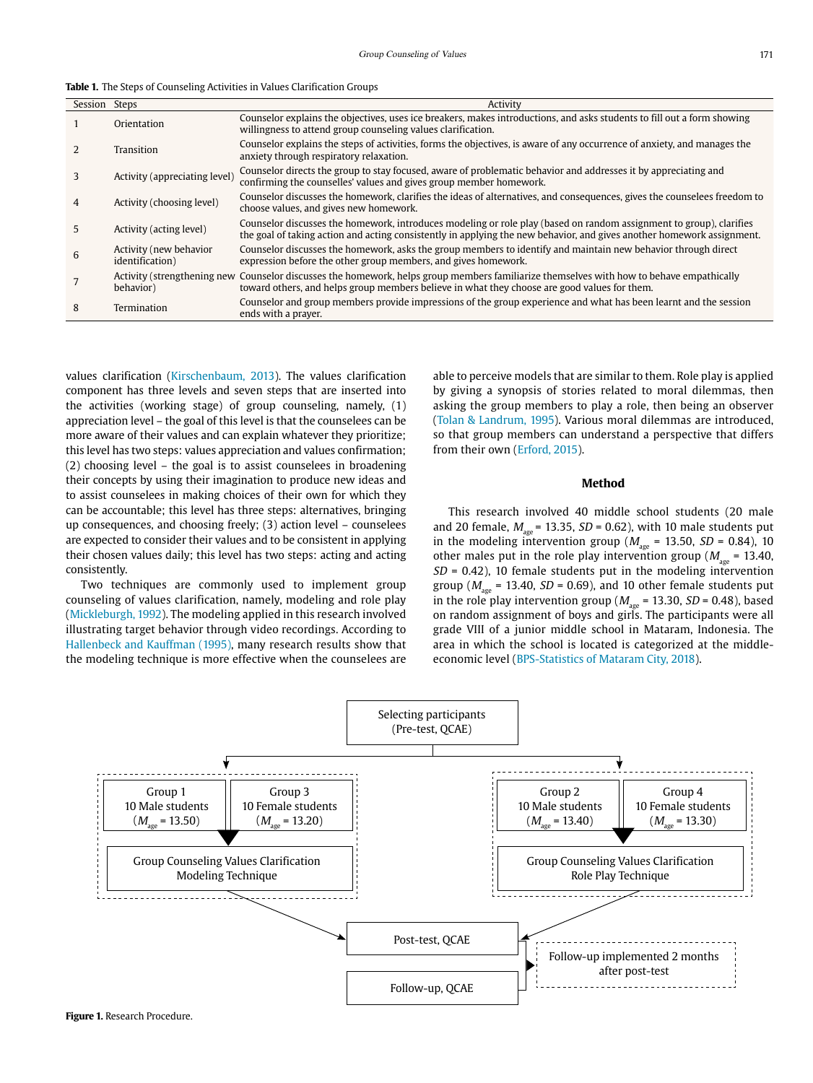|  |  |  |  |  | <b>Table 1.</b> The Steps of Counseling Activities in Values Clarification Groups |  |
|--|--|--|--|--|-----------------------------------------------------------------------------------|--|
|--|--|--|--|--|-----------------------------------------------------------------------------------|--|

| Session | Steps                                     | Activity                                                                                                                                                                                                                                      |
|---------|-------------------------------------------|-----------------------------------------------------------------------------------------------------------------------------------------------------------------------------------------------------------------------------------------------|
|         | Orientation                               | Counselor explains the objectives, uses ice breakers, makes introductions, and asks students to fill out a form showing<br>willingness to attend group counseling values clarification.                                                       |
|         | Transition                                | Counselor explains the steps of activities, forms the objectives, is aware of any occurrence of anxiety, and manages the<br>anxiety through respiratory relaxation.                                                                           |
| 3       | Activity (appreciating level)             | Counselor directs the group to stay focused, aware of problematic behavior and addresses it by appreciating and<br>confirming the counselles' values and gives group member homework.                                                         |
| 4       | Activity (choosing level)                 | Counselor discusses the homework, clarifies the ideas of alternatives, and consequences, gives the counselees freedom to<br>choose values, and gives new homework.                                                                            |
| 5       | Activity (acting level)                   | Counselor discusses the homework, introduces modeling or role play (based on random assignment to group), clarifies<br>the goal of taking action and acting consistently in applying the new behavior, and gives another homework assignment. |
| 6       | Activity (new behavior<br>identification) | Counselor discusses the homework, asks the group members to identify and maintain new behavior through direct<br>expression before the other group members, and gives homework.                                                               |
|         | behavior)                                 | Activity (strengthening new Counselor discusses the homework, helps group members familiarize themselves with how to behave empathically<br>toward others, and helps group members believe in what they choose are good values for them.      |
| 8       | Termination                               | Counselor and group members provide impressions of the group experience and what has been learnt and the session<br>ends with a prayer.                                                                                                       |

values clarification (Kirschenbaum, 2013). The values clarification component has three levels and seven steps that are inserted into the activities (working stage) of group counseling, namely, (1) appreciation level – the goal of this level is that the counselees can be more aware of their values and can explain whatever they prioritize; this level has two steps: values appreciation and values confirmation; (2) choosing level – the goal is to assist counselees in broadening their concepts by using their imagination to produce new ideas and to assist counselees in making choices of their own for which they can be accountable; this level has three steps: alternatives, bringing up consequences, and choosing freely; (3) action level – counselees are expected to consider their values and to be consistent in applying their chosen values daily; this level has two steps: acting and acting consistently.

Two techniques are commonly used to implement group counseling of values clarification, namely, modeling and role play (Mickleburgh, 1992). The modeling applied in this research involved illustrating target behavior through video recordings. According to Hallenbeck and Kauffman (1995), many research results show that the modeling technique is more effective when the counselees are able to perceive models that are similar to them. Role play is applied by giving a synopsis of stories related to moral dilemmas, then asking the group members to play a role, then being an observer (Tolan & Landrum, 1995). Various moral dilemmas are introduced, so that group members can understand a perspective that differs from their own (Erford, 2015).

#### **Method**

This research involved 40 middle school students (20 male and 20 female,  $M_{\text{age}}$  = 13.35, *SD* = 0.62), with 10 male students put in the modeling intervention group ( $M_{\text{age}}$  = 13.50, *SD* = 0.84), 10 other males put in the role play intervention group ( $M_{\text{age}}$  = 13.40,  $SD = 0.42$ ), 10 female students put in the modeling intervention group ( $M_{\text{age}}$  = 13.40, *SD* = 0.69), and 10 other female students put in the role play intervention group ( $M_{\text{app}}$  = 13.30, *SD* = 0.48), based on random assignment of boys and girls. The participants were all grade VIII of a junior middle school in Mataram, Indonesia. The area in which the school is located is categorized at the middleeconomic level (BPS-Statistics of Mataram City, 2018).

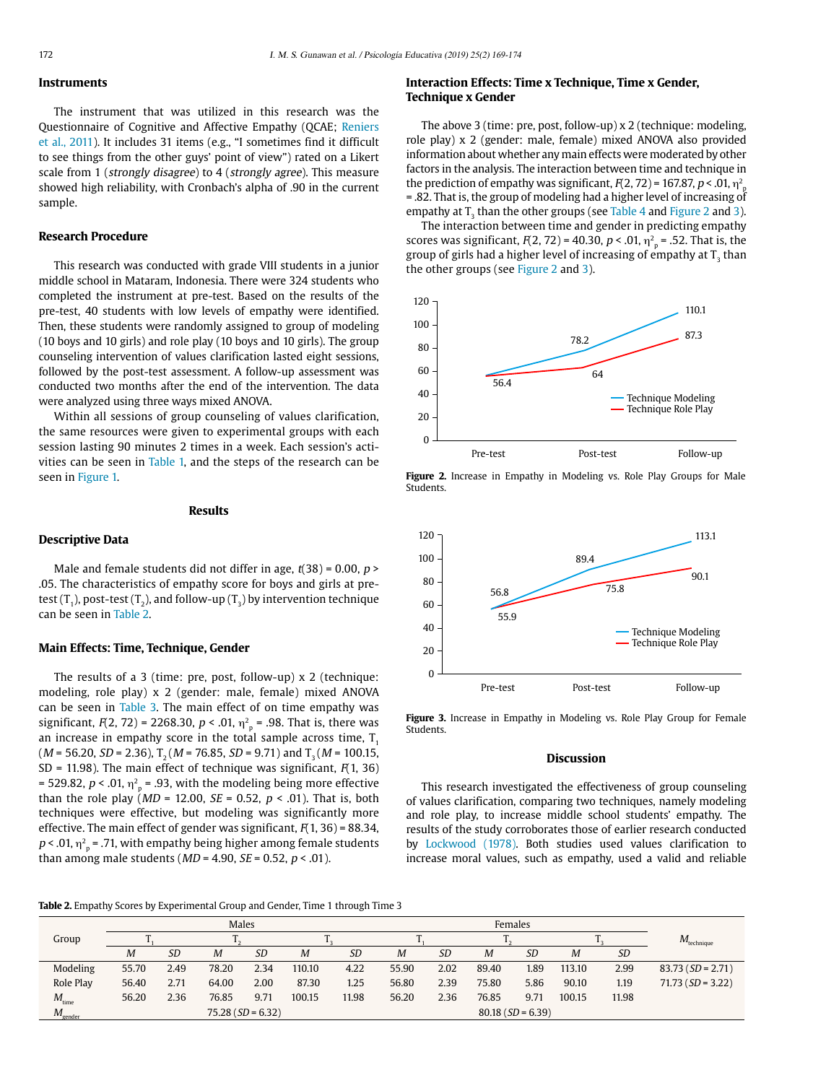# **Instruments**

The instrument that was utilized in this research was the Questionnaire of Cognitive and Affective Empathy (QCAE; Reniers et al., 2011). It includes 31 items (e.g., "I sometimes find it difficult to see things from the other guys' point of view") rated on a Likert scale from 1 (strongly disagree) to 4 (strongly agree). This measure showed high reliability, with Cronbach's alpha of .90 in the current sample.

#### **Research Procedure**

This research was conducted with grade VIII students in a junior middle school in Mataram, Indonesia. There were 324 students who completed the instrument at pre-test. Based on the results of the pre-test, 40 students with low levels of empathy were identified. Then, these students were randomly assigned to group of modeling (10 boys and 10 girls) and role play (10 boys and 10 girls). The group counseling intervention of values clarification lasted eight sessions, followed by the post-test assessment. A follow-up assessment was conducted two months after the end of the intervention. The data were analyzed using three ways mixed ANOVA.

Within all sessions of group counseling of values clarification, the same resources were given to experimental groups with each session lasting 90 minutes 2 times in a week. Each session's activities can be seen in Table 1, and the steps of the research can be seen in Figure 1.

#### **Results**

### **Descriptive Data**

Male and female students did not differ in age,  $t(38) = 0.00$ ,  $p >$ .05. The characteristics of empathy score for boys and girls at pretest  $(T_1)$ , post-test  $(T_2)$ , and follow-up  $(T_3)$  by intervention technique can be seen in Table 2.

#### **Main Effects: Time, Technique, Gender**

The results of a 3 (time: pre, post, follow-up) x 2 (technique: modeling, role play) x 2 (gender: male, female) mixed ANOVA can be seen in Table 3. The main effect of on time empathy was significant,  $F(2, 72) = 2268.30$ ,  $p < .01$ ,  $\eta_{p}^{2} = .98$ . That is, there was an increase in empathy score in the total sample across time,  $T_1$  $(M = 56.20, SD = 2.36), T<sub>2</sub>(M = 76.85, SD = 9.71)$  and  $T<sub>3</sub>(M = 100.15,$ SD = 11.98). The main effect of technique was significant,  $F(1, 36)$ = 529.82,  $p < .01$ ,  $\eta_p^2$  = .93, with the modeling being more effective than the role play  $(MD = 12.00, SE = 0.52, p < .01)$ . That is, both techniques were effective, but modeling was significantly more effective. The main effect of gender was significant,  $F(1, 36)$  = 88.34,  $p < .01$ ,  $\eta^2$ <sub>p</sub> = .71, with empathy being higher among female students than among male students ( $MD = 4.90$ ,  $SE = 0.52$ ,  $p < .01$ ).

# **Interaction Effects: Time x Technique, Time x Gender, Technique x Gender**

The above 3 (time: pre, post, follow-up) x 2 (technique: modeling, role play) x 2 (gender: male, female) mixed ANOVA also provided information about whether any main effects were moderated by other factors in the analysis. The interaction between time and technique in the prediction of empathy was significant,  $F(2,72)$  = 167.87, p < .01,  $\eta_{\rm p}^2$ = .82. That is, the group of modeling had a higher level of increasing of empathy at  $T<sub>3</sub>$  than the other groups (see Table 4 and Figure 2 and 3).

The interaction between time and gender in predicting empathy scores was significant,  $F(2, 72) = 40.30$ ,  $p < .01$ ,  $\eta_p^2 = .52$ . That is, the group of girls had a higher level of increasing of empathy at  $T<sub>3</sub>$  than the other groups (see Figure 2 and 3).







**Figure 3.** Increase in Empathy in Modeling vs. Role Play Group for Female Students.

#### **Discussion**

This research investigated the effectiveness of group counseling of values clarification, comparing two techniques, namely modeling and role play, to increase middle school students' empathy. The results of the study corroborates those of earlier research conducted by Lockwood (1978). Both studies used values clarification to increase moral values, such as empathy, used a valid and reliable

**Table 2.** Empathy Scores by Experimental Group and Gender, Time 1 through Time 3

|                     | Males              |           |       |           |        | Females            |       |           |       |           |        |           |                        |
|---------------------|--------------------|-----------|-------|-----------|--------|--------------------|-------|-----------|-------|-----------|--------|-----------|------------------------|
| Group               |                    |           |       |           |        |                    |       |           |       |           |        |           | $M_{\text{technique}}$ |
|                     | M                  | <b>SD</b> | M     | <b>SD</b> | Μ      | <b>SD</b>          | M     | <b>SD</b> | M     | <b>SD</b> | M      | <b>SD</b> |                        |
| Modeling            | 55.70              | 2.49      | 78.20 | 2.34      | 110.10 | 4.22               | 55.90 | 2.02      | 89.40 | 1.89      | 113.10 | 2.99      | $83.73$ (SD = 2.71)    |
| Role Play           | 56.40              | 2.71      | 64.00 | 2.00      | 87.30  | 1.25               | 56.80 | 2.39      | 75.80 | 5.86      | 90.10  | 1.19      | $71.73$ (SD = 3.22)    |
| $M_{time}$          | 56.20              | 2.36      | 76.85 | 9.71      | 100.15 | 11.98              | 56.20 | 2.36      | 76.85 | 9.71      | 100.15 | 11.98     |                        |
| $M_{\text{gender}}$ | $75.28(SD = 6.32)$ |           |       |           |        | $80.18(SD = 6.39)$ |       |           |       |           |        |           |                        |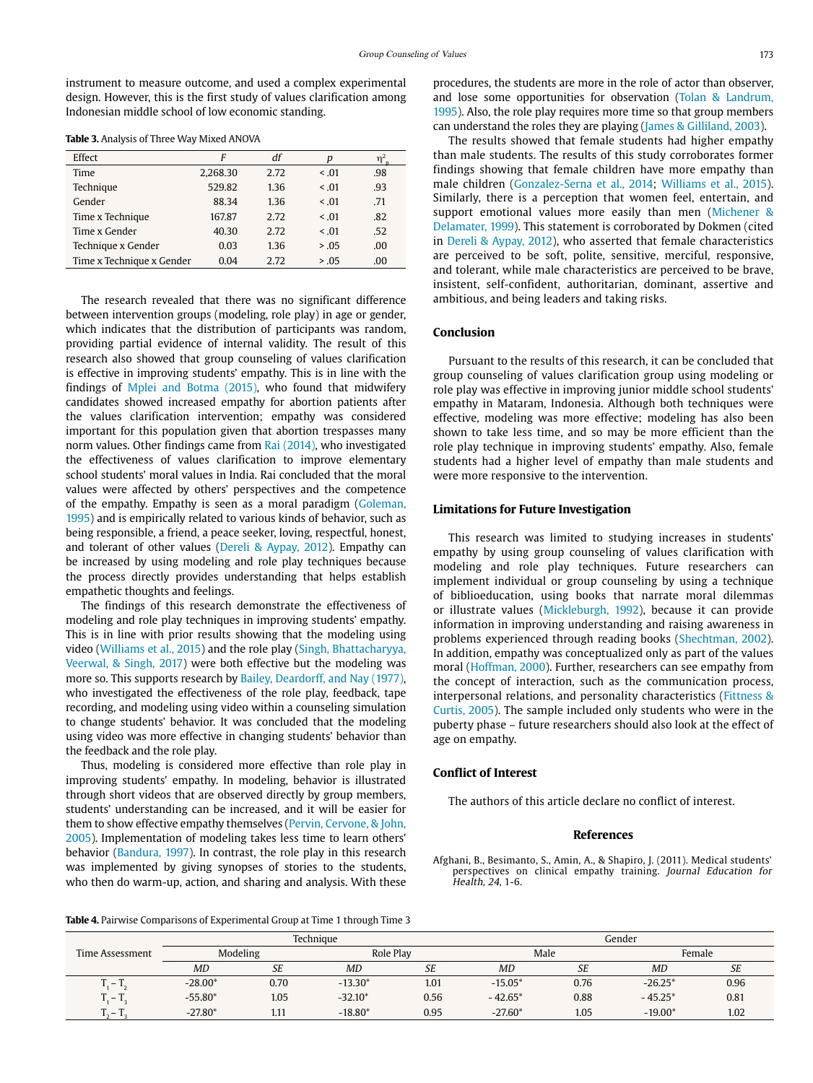instrument to measure outcome, and used a complex experimental design. However, this is the first study of values clarification among Indonesian middle school of low economic standing.

| Effect                    | F        | df   | p      |      |
|---------------------------|----------|------|--------|------|
| Time                      | 2.268.30 | 2.72 | < 0.01 | .98  |
| Technique                 | 529.82   | 1.36 | < 0.01 | .93  |
| Gender                    | 88.34    | 1.36 | < 0.01 | .71  |
| Time x Technique          | 167.87   | 2.72 | < 0.01 | .82  |
| Time x Gender             | 40.30    | 2.72 | < 0.01 | .52  |
| Technique x Gender        | 0.03     | 1.36 | > .05  | .00. |
| Time x Technique x Gender | 0.04     | 2.72 | > .05  | .00  |

The research revealed that there was no significant difference between intervention groups (modeling, role play) in age or gender, which indicates that the distribution of participants was random, providing partial evidence of internal validity. The result of this research also showed that group counseling of values clarification is effective in improving students' empathy. This is in line with the findings of Mplei and Botma (2015), who found that midwifery candidates showed increased empathy for abortion patients after the values clarification intervention; empathy was considered important for this population given that abortion trespasses many norm values. Other findings came from Rai (2014), who investigated the effectiveness of values clarification to improve elementary school students' moral values in India. Rai concluded that the moral values were affected by others' perspectives and the competence of the empathy. Empathy is seen as a moral paradigm (Goleman, 1995) and is empirically related to various kinds of behavior, such as being responsible, a friend, a peace seeker, loving, respectful, honest, and tolerant of other values (Dereli & Aypay, 2012). Empathy can be increased by using modeling and role play techniques because the process directly provides understanding that helps establish empathetic thoughts and feelings.

The findings of this research demonstrate the effectiveness of modeling and role play techniques in improving students' empathy. This is in line with prior results showing that the modeling using video (Williams et al., 2015) and the role play (Singh, Bhattacharyya, Veerwal, & Singh, 2017) were both effective but the modeling was more so. This supports research by Bailey, Deardorff, and Nay (1977), who investigated the effectiveness of the role play, feedback, tape recording, and modeling using video within a counseling simulation to change students' behavior. It was concluded that the modeling using video was more effective in changing students' behavior than the feedback and the role play.

Thus, modeling is considered more effective than role play in improving students' empathy. In modeling, behavior is illustrated through short videos that are observed directly by group members, students' understanding can be increased, and it will be easier for them to show effective empathy themselves (Pervin, Cervone, & John, 2005). Implementation of modeling takes less time to learn others' behavior (Bandura, 1997). In contrast, the role play in this research was implemented by giving synopses of stories to the students, who then do warm-up, action, and sharing and analysis. With these procedures, the students are more in the role of actor than observer, and lose some opportunities for observation (Tolan & Landrum, 1995). Also, the role play requires more time so that group members can understand the roles they are playing (James & Gilliland, 2003).

The results showed that female students had higher empathy than male students. The results of this study corroborates former findings showing that female children have more empathy than male children (Gonzalez-Serna et al., 2014; Williams et al., 2015). Similarly, there is a perception that women feel, entertain, and support emotional values more easily than men (Michener & Delamater, 1999). This statement is corroborated by Dokmen (cited in Dereli & Aypay, 2012), who asserted that female characteristics are perceived to be soft, polite, sensitive, merciful, responsive, and tolerant, while male characteristics are perceived to be brave, insistent, self-confident, authoritarian, dominant, assertive and ambitious, and being leaders and taking risks.

## **Conclusion**

Pursuant to the results of this research, it can be concluded that group counseling of values clarification group using modeling or role play was effective in improving junior middle school students' empathy in Mataram, Indonesia. Although both techniques were effective, modeling was more effective; modeling has also been shown to take less time, and so may be more efficient than the role play technique in improving students' empathy. Also, female students had a higher level of empathy than male students and were more responsive to the intervention.

#### **Limitations for Future Investigation**

This research was limited to studying increases in students' empathy by using group counseling of values clarification with modeling and role play techniques. Future researchers can implement individual or group counseling by using a technique of biblioeducation, using books that narrate moral dilemmas or illustrate values (Mickleburgh, 1992), because it can provide information in improving understanding and raising awareness in problems experienced through reading books (Shechtman, 2002). In addition, empathy was conceptualized only as part of the values moral (Hoffman, 2000). Further, researchers can see empathy from the concept of interaction, such as the communication process, interpersonal relations, and personality characteristics (Fittness & Curtis, 2005). The sample included only students who were in the puberty phase – future researchers should also look at the effect of age on empathy.

#### **Conflict of Interest**

The authors of this article declare no conflict of interest.

#### **References**

Afghani, B., Besimanto, S., Amin, A., & Shapiro, J. (2011). Medical students' perspectives on clinical empathy training. Journal Education for Health, 24, 1-6.

**Table 4.** Pairwise Comparisons of Experimental Group at Time 1 through Time 3

|                 |           |           | Technique |           | Gender    |           |           |           |
|-----------------|-----------|-----------|-----------|-----------|-----------|-----------|-----------|-----------|
| Time Assessment | Modeling  |           | Role Play |           | Male      |           | Female    |           |
|                 | MD        | <b>SE</b> | MD        | <b>SE</b> | MD        | <b>SE</b> | <b>MD</b> | <b>SE</b> |
| $T -$           | $-28.00*$ | 0.70      | $-13.30*$ | 1.01      | $-15.05*$ | 0.76      | $-26.25*$ | 0.96      |
| $T - T$         | $-55.80*$ | 1.05      | $-32.10*$ | 0.56      | $-42.65*$ | 0.88      | $-45.25*$ | 0.81      |
| m               | $-27.80*$ | 1.11      | $-18.80*$ | 0.95      | $-27.60*$ | 1.05      | $-19.00*$ | 1.02      |